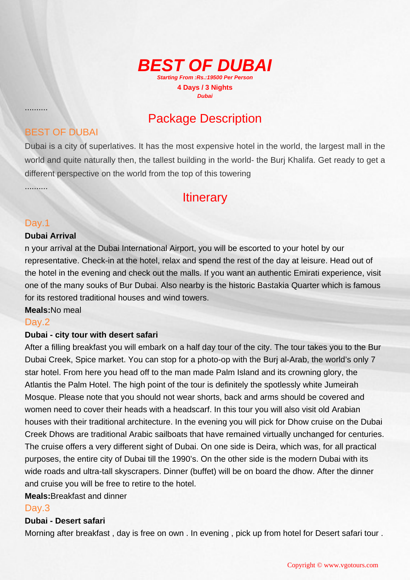

## Package Description

### BEST OF DUBAI

Dubai is a city of superlatives. It has the most expensive hotel in the world, the largest mall in the world and quite naturally then, the tallest building in the world- the Burj Khalifa. Get ready to get a different perspective on the world from the top of this towering

### **Itinerary**

#### Day.1

..........

..........

#### **Dubai Arrival**

n your arrival at the Dubai International Airport, you will be escorted to your hotel by our representative. Check-in at the hotel, relax and spend the rest of the day at leisure. Head out of the hotel in the evening and check out the malls. If you want an authentic Emirati experience, visit one of the many souks of Bur Dubai. Also nearby is the historic Bastakia Quarter which is famous for its restored traditional houses and wind towers.

#### **Meals:**No meal

#### Day.2

#### **Dubai - city tour with desert safari**

After a filling breakfast you will embark on a half day tour of the city. The tour takes you to the Bur Dubai Creek, Spice market. You can stop for a photo-op with the Burj al-Arab, the world's only 7 star hotel. From here you head off to the man made Palm Island and its crowning glory, the Atlantis the Palm Hotel. The high point of the tour is definitely the spotlessly white Jumeirah Mosque. Please note that you should not wear shorts, back and arms should be covered and women need to cover their heads with a headscarf. In this tour you will also visit old Arabian houses with their traditional architecture. In the evening you will pick for Dhow cruise on the Dubai Creek Dhows are traditional Arabic sailboats that have remained virtually unchanged for centuries. The cruise offers a very different sight of Dubai. On one side is Deira, which was, for all practical purposes, the entire city of Dubai till the 1990's. On the other side is the modern Dubai with its wide roads and ultra-tall skyscrapers. Dinner (buffet) will be on board the dhow. After the dinner and cruise you will be free to retire to the hotel.

#### **Meals:**Breakfast and dinner

#### Day.3

#### **Dubai - Desert safari**

Morning after breakfast , day is free on own . In evening , pick up from hotel for Desert safari tour .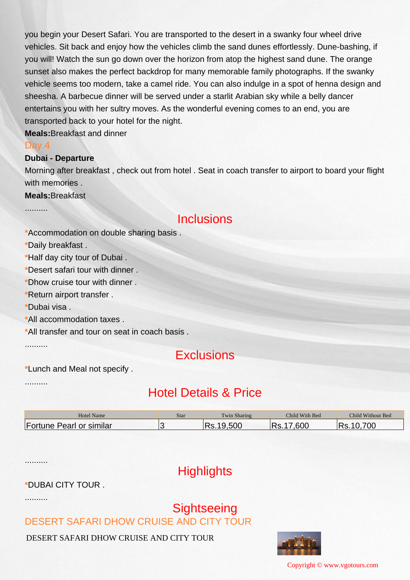you begin your Desert Safari. You are transported to the desert in a swanky four wheel drive vehicles. Sit back and enjoy how the vehicles climb the sand dunes effortlessly. Dune-bashing, if you will! Watch the sun go down over the horizon from atop the highest sand dune. The orange sunset also makes the perfect backdrop for many memorable family photographs. If the swanky vehicle seems too modern, take a camel ride. You can also indulge in a spot of henna design and sheesha. A barbecue dinner will be served under a starlit Arabian sky while a belly dancer entertains you with her sultry moves. As the wonderful evening comes to an end, you are transported back to your hotel for the night.

**Meals:**Breakfast and dinner

#### Day.4

..........

#### **Dubai - Departure**

Morning after breakfast , check out from hotel . Seat in coach transfer to airport to board your flight with memories .

**Meals:**Breakfast

### Inclusions

**\***Accommodation on double sharing basis .

**\***Daily breakfast .

**\***Half day city tour of Dubai .

**\***Desert safari tour with dinner .

**\***Dhow cruise tour with dinner .

**\***Return airport transfer .

**\***Dubai visa .

**\***All accommodation taxes .

**\***All transfer and tour on seat in coach basis .

..........

### **Exclusions**

**\***Lunch and Meal not specify .

..........

## Hotel Details & Price

| <b>Hotel Name</b>        | Star | Twin Sharing | Child With Bed | Child Without Bed |
|--------------------------|------|--------------|----------------|-------------------|
| Fortune Pearl or similar |      | 500<br>י ה   | .600<br>. J.   | 700               |

..........

## **Highlights**

### **\***DUBAI CITY TOUR .

..........

# **Sightseeing**

DESERT SAFARI DHOW CRUISE AND CITY TOUR

DESERT SAFARI DHOW CRUISE AND CITY TOUR



Copyright © www.vgotours.com